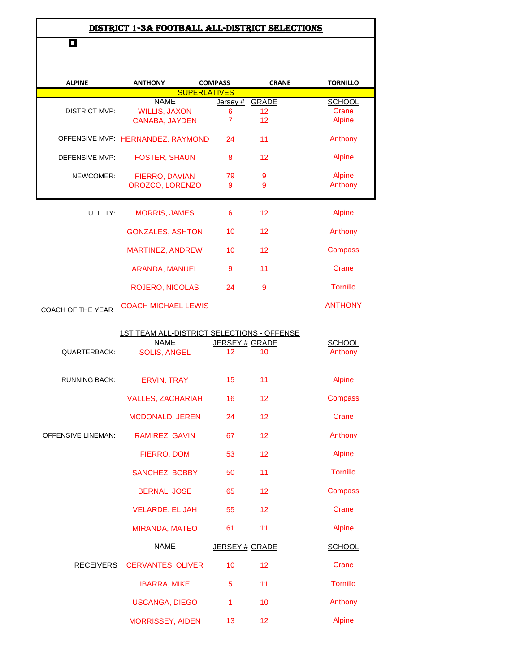## DISTRICT 1-3A FOOTBALL ALL-DISTRICT SELECTIONS

П

| <b>ALPINE</b>        | <b>ANTHONY</b>                           | <b>COMPASS</b> | <b>CRANE</b> | <b>TORNILLO</b>          |
|----------------------|------------------------------------------|----------------|--------------|--------------------------|
|                      | <b>SUPERLATIVES</b>                      |                |              |                          |
|                      | <b>NAME</b>                              | Jersey#        | <b>GRADE</b> | <b>SCHOOL</b>            |
| <b>DISTRICT MVP:</b> | <b>WILLIS, JAXON</b>                     | 6              | 12           | Crane                    |
|                      | <b>CANABA, JAYDEN</b>                    | $\overline{7}$ | 12           | Alpine                   |
|                      | OFFENSIVE MVP: HERNANDEZ, RAYMOND        | 24             | 11           | Anthony                  |
|                      |                                          |                |              |                          |
| DEFENSIVE MVP:       | <b>FOSTER, SHAUN</b>                     | 8              | 12           | <b>Alpine</b>            |
| NEWCOMER:            |                                          |                |              |                          |
|                      | <b>FIERRO, DAVIAN</b><br>OROZCO, LORENZO | 79<br>9        | 9<br>9       | <b>Alpine</b><br>Anthony |
|                      |                                          |                |              |                          |
|                      |                                          |                |              |                          |
| UTILITY:             | <b>MORRIS, JAMES</b>                     | 6              | 12           | <b>Alpine</b>            |
|                      | <b>GONZALES, ASHTON</b>                  | 10             | 12           | Anthony                  |
|                      |                                          |                |              |                          |
|                      | MARTINEZ, ANDREW                         | 10             | 12           | Compass                  |
|                      |                                          |                |              |                          |
|                      | <b>ARANDA, MANUEL</b>                    | 9              | 11           | Crane                    |
|                      | <b>ROJERO, NICOLAS</b>                   | 24             | 9            | <b>Tornillo</b>          |
|                      |                                          |                |              |                          |
| COACH OF THE YEAR    | <b>COACH MICHAEL LEWIS</b>               |                |              | <b>ANTHONY</b>           |
|                      |                                          |                |              |                          |

1ST TEAM ALL-DISTRICT SELECTIONS - OFFENSE

|                      | <b>NAME</b>              | JERSEY # GRADE  |    | <b>SCHOOL</b>   |
|----------------------|--------------------------|-----------------|----|-----------------|
| <b>QUARTERBACK:</b>  | <b>SOLIS, ANGEL</b>      | 12 <sup>2</sup> | 10 | Anthony         |
| <b>RUNNING BACK:</b> | <b>ERVIN, TRAY</b>       | 15              | 11 | <b>Alpine</b>   |
|                      | <b>VALLES, ZACHARIAH</b> | 16              | 12 | Compass         |
|                      | <b>MCDONALD, JEREN</b>   | 24              | 12 | Crane           |
| OFFENSIVE LINEMAN:   | RAMIREZ, GAVIN           | 67              | 12 | Anthony         |
|                      | <b>FIERRO, DOM</b>       | 53              | 12 | <b>Alpine</b>   |
|                      | SANCHEZ, BOBBY           | 50              | 11 | Tornillo        |
|                      | <b>BERNAL, JOSE</b>      | 65              | 12 | Compass         |
|                      | <b>VELARDE, ELIJAH</b>   | 55              | 12 | Crane           |
|                      | <b>MIRANDA, MATEO</b>    | 61              | 11 | <b>Alpine</b>   |
|                      | <b>NAME</b>              | JERSEY # GRADE  |    | <b>SCHOOL</b>   |
| <b>RECEIVERS</b>     | <b>CERVANTES, OLIVER</b> | 10              | 12 | Crane           |
|                      | <b>IBARRA, MIKE</b>      | 5               | 11 | <b>Tornillo</b> |
|                      | <b>USCANGA, DIEGO</b>    | 1               | 10 | Anthony         |
|                      | <b>MORRISSEY, AIDEN</b>  | 13              | 12 | <b>Alpine</b>   |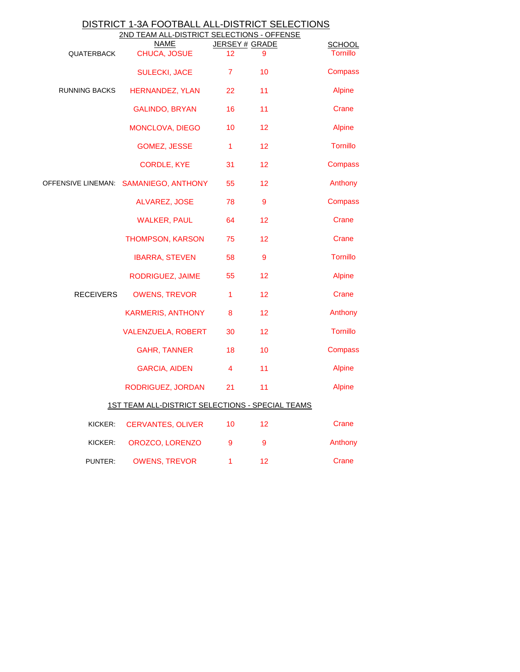| DISTRICT 1-3A FOOTBALL ALL-DISTRICT SELECTIONS |  |  |  |  |
|------------------------------------------------|--|--|--|--|
|                                                |  |  |  |  |

|                      | 2ND TEAM ALL-DISTRICT SELECTIONS - OFFENSE       |                      |    |                                  |
|----------------------|--------------------------------------------------|----------------------|----|----------------------------------|
| <b>QUATERBACK</b>    | <b>NAME</b><br>CHUCA, JOSUE                      | JERSEY # GRADE<br>12 | 9  | <b>SCHOOL</b><br><b>Tornillo</b> |
|                      | <b>SULECKI, JACE</b>                             | $\overline{7}$       | 10 | Compass                          |
| <b>RUNNING BACKS</b> | <b>HERNANDEZ, YLAN</b>                           | 22                   | 11 | <b>Alpine</b>                    |
|                      | <b>GALINDO, BRYAN</b>                            | 16                   | 11 | Crane                            |
|                      | MONCLOVA, DIEGO                                  | 10                   | 12 | <b>Alpine</b>                    |
|                      | <b>GOMEZ, JESSE</b>                              | $\mathbf{1}$         | 12 | <b>Tornillo</b>                  |
|                      | <b>CORDLE, KYE</b>                               | 31                   | 12 | Compass                          |
|                      | OFFENSIVE LINEMAN: SAMANIEGO, ANTHONY            | 55                   | 12 | Anthony                          |
|                      | <b>ALVAREZ, JOSE</b>                             | 78                   | 9  | Compass                          |
|                      | <b>WALKER, PAUL</b>                              | 64                   | 12 | Crane                            |
|                      | THOMPSON, KARSON                                 | 75                   | 12 | Crane                            |
|                      | <b>IBARRA, STEVEN</b>                            | 58                   | 9  | <b>Tornillo</b>                  |
|                      | RODRIGUEZ, JAIME                                 | 55                   | 12 | <b>Alpine</b>                    |
| <b>RECEIVERS</b>     | <b>OWENS, TREVOR</b>                             | 1                    | 12 | Crane                            |
|                      | <b>KARMERIS, ANTHONY</b>                         | 8                    | 12 | Anthony                          |
|                      | VALENZUELA, ROBERT                               | 30                   | 12 | <b>Tornillo</b>                  |
|                      | <b>GAHR, TANNER</b>                              | 18                   | 10 | Compass                          |
|                      | <b>GARCIA, AIDEN</b>                             | 4                    | 11 | <b>Alpine</b>                    |
|                      | RODRIGUEZ, JORDAN                                | 21                   | 11 | <b>Alpine</b>                    |
|                      | 1ST TEAM ALL-DISTRICT SELECTIONS - SPECIAL TEAMS |                      |    |                                  |
| KICKER:              | <b>CERVANTES, OLIVER</b>                         | 10                   | 12 | Crane                            |
| KICKER:              | OROZCO, LORENZO                                  | 9                    | 9  | Anthony                          |
| PUNTER:              | <b>OWENS, TREVOR</b>                             | 1                    | 12 | Crane                            |